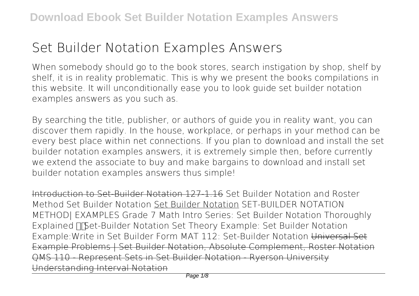# **Set Builder Notation Examples Answers**

When somebody should go to the book stores, search instigation by shop, shelf by shelf, it is in reality problematic. This is why we present the books compilations in this website. It will unconditionally ease you to look guide **set builder notation examples answers** as you such as.

By searching the title, publisher, or authors of guide you in reality want, you can discover them rapidly. In the house, workplace, or perhaps in your method can be every best place within net connections. If you plan to download and install the set builder notation examples answers, it is extremely simple then, before currently we extend the associate to buy and make bargains to download and install set builder notation examples answers thus simple!

Introduction to Set-Builder Notation 127-1.16 **Set Builder Notation and Roster Method** *Set Builder Notation* Set Builder Notation *SET-BUILDER NOTATION METHOD| EXAMPLES* Grade 7 Math Intro Series: Set Builder Notation Thoroughly Explained *Set-Builder Notation* **Set Theory Example: Set Builder Notation Example:Write in Set Builder Form** MAT 112: Set-Builder Notation Universal Set Example Problems | Set Builder Notation, Absolute Complement, Roster Notation QMS 110 - Represent Sets in Set Builder Notation - Ryerson University Understanding Interval Notation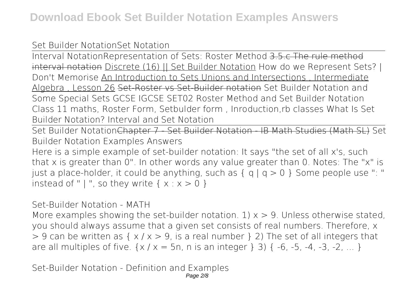### Set Builder Notation**Set Notation**

Interval Notation**Representation of Sets: Roster Method** 3.5.c The rule method interval notation Discrete (16) || Set Builder Notation *How do we Represent Sets? | Don't Memorise* An Introduction to Sets Unions and Intersections , Intermediate Algebra , Lesson 26 Set-Roster vs Set-Builder notation *Set Builder Notation and Some Special Sets GCSE IGCSE SET02 Roster Method and Set Builder Notation* Class 11 maths, Roster Form, Setbulder form , Inroduction,rb classes *What Is Set Builder Notation? Interval and Set Notation*

Set Builder NotationChapter 7 - Set Builder Notation - IB Math Studies (Math SL) *Set Builder Notation Examples Answers*

Here is a simple example of set-builder notation: It says "the set of all x's, such that x is greater than 0". In other words any value greater than 0. Notes: The "x" is just a place-holder, it could be anything, such as  $\{ q \mid q > 0 \}$  Some people use ": " instead of " | ", so they write  $\{x : x > 0\}$ 

*Set-Builder Notation - MATH*

More examples showing the set-builder notation. 1)  $x > 9$ . Unless otherwise stated, you should always assume that a given set consists of real numbers. Therefore, x  $> 9$  can be written as  $\{ x / x > 9$ , is a real number  $\}$  2) The set of all integers that are all multiples of five.  $\{x / x = 5n, n \text{ is an integer } \}$  3)  $\{ -6, -5, -4, -3, -2, \dots \}$ 

*Set-Builder Notation - Definition and Examples*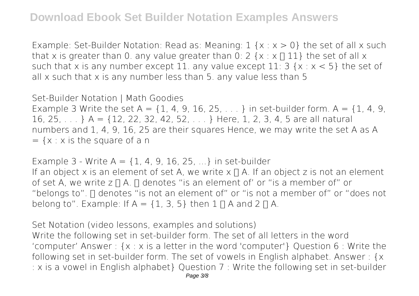Example: Set-Builder Notation: Read as: Meaning:  $1 \{x : x > 0\}$  the set of all x such that x is greater than 0. any value greater than 0: 2  $\{x : x \sqcap 11\}$  the set of all x such that x is any number except 11. any value except 11:  $3 \{x : x < 5\}$  the set of all x such that x is any number less than 5. any value less than 5

#### *Set-Builder Notation | Math Goodies*

Example 3 Write the set A =  $\{1, 4, 9, 16, 25, \ldots\}$  in set-builder form. A =  $\{1, 4, 9, \ldots\}$ 16, 25, . . . } A = {12, 22, 32, 42, 52, . . . } Here, 1, 2, 3, 4, 5 are all natural numbers and 1, 4, 9, 16, 25 are their squares Hence, we may write the set A as A  $= {x : x is the square of a n}$ 

*Example 3 - Write A = {1, 4, 9, 16, 25, ...} in set-builder* If an object x is an element of set A, we write  $x \bigcap A$ . If an object z is not an element of set A, we write  $z \sqcap A$ .  $\sqcap$  denotes "is an element of' or "is a member of" or "belongs to".  $\Box$  denotes "is not an element of" or "is not a member of" or "does not belong to". Example: If A = {1, 3, 5} then  $1 \Pi A$  and  $2 \Pi A$ .

*Set Notation (video lessons, examples and solutions)*

Write the following set in set-builder form. The set of all letters in the word 'computer' Answer : {x : x is a letter in the word 'computer'} Question 6 : Write the following set in set-builder form. The set of vowels in English alphabet. Answer : {x : x is a vowel in English alphabet} Question 7 : Write the following set in set-builder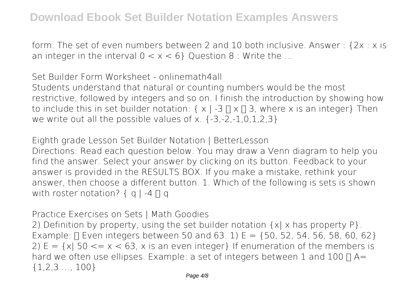form. The set of even numbers between 2 and 10 both inclusive. Answer : {2x : x is an integer in the interval  $0 < x < 6$ } Question 8 : Write the ...

*Set Builder Form Worksheet - onlinemath4all* Students understand that natural or counting numbers would be the most restrictive, followed by integers and so on. I finish the introduction by showing how to include this in set builder notation:  $\{ x \mid -3 \cap x \cap 3$ , where x is an integer Then we write out all the possible values of x. {-3,-2,-1,0,1,2,3}

*Eighth grade Lesson Set Builder Notation | BetterLesson* Directions: Read each question below. You may draw a Venn diagram to help you find the answer. Select your answer by clicking on its button. Feedback to your answer is provided in the RESULTS BOX. If you make a mistake, rethink your answer, then choose a different button. 1. Which of the following is sets is shown with roster notation?  $\{ q \mid -4 \sqcap q \}$ 

*Practice Exercises on Sets | Math Goodies*

2) Definition by property, using the set builder notation  $\{x | x \text{ has property } P\}$ . Example:  $\Box$  Even integers between 50 and 63. 1) E = {50, 52, 54, 56, 58, 60, 62} 2)  $E = \{x | 50 \le x \le 63, x \text{ is an even integer} \}$  If enumeration of the members is hard we often use ellipses. Example: a set of integers between 1 and 100  $\Box$  A= {1,2,3 …, 100}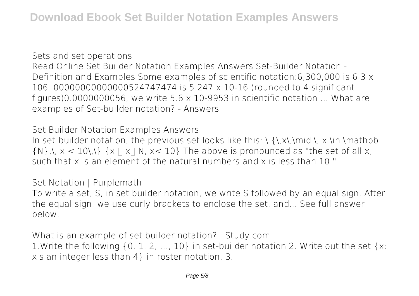*Sets and set operations* Read Online Set Builder Notation Examples Answers Set-Builder Notation - Definition and Examples Some examples of scientific notation:6,300,000 is 6.3 x 106..00000000000000524747474 is 5.247 x 10-16 (rounded to 4 significant figures)0.0000000056, we write  $5.6 \times 10$ -9953 in scientific notation ... What are examples of Set-builder notation? - Answers

*Set Builder Notation Examples Answers*

In set-builder notation, the previous set looks like this:  $\{\,\{x\},\,\{n\},\,x\}\$ in \mathbb  $\{N\},\, \chi < 10\, \Lambda\}$   $\{X \sqcap X \sqcap N, \, X < 10\}$  The above is pronounced as "the set of all x, such that x is an element of the natural numbers and x is less than 10 ".

*Set Notation | Purplemath*

To write a set, S, in set builder notation, we write S followed by an equal sign. After the equal sign, we use curly brackets to enclose the set, and... See full answer below.

*What is an example of set builder notation? | Study.com* 1.Write the following {0, 1, 2, …, 10} in set-builder notation 2. Write out the set {x: xis an integer less than 4} in roster notation. 3.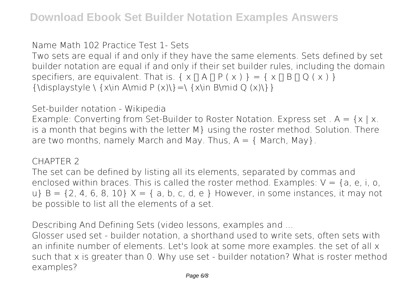#### *Name Math 102 Practice Test 1- Sets*

Two sets are equal if and only if they have the same elements. Sets defined by set builder notation are equal if and only if their set builder rules, including the domain specifiers, are equivalent. That is.  $\{x \mid A \cap P(x)\} = \{x \cap B \cap Q(x)\}$  ${\displaystyle {\{\Delta \} \mid \mathbf{P} \mid \mathbf{x} \in \mathbf{P} \mid \mathbf{x} \in \mathbf{P} \mid \mathbf{x} \in \mathbf{P} \mid \mathbf{x} \in \mathbf{P} \mid \mathbf{x} \in \mathbf{P} \mid \mathbf{x} \in \mathbf{P} \mid \mathbf{x} \in \mathbf{P} \mid \mathbf{x} \in \mathbf{P} \mid \mathbf{x} \in \mathbf{P} \mid \mathbf{x} \in \mathbf{P} \mid \mathbf{x} \in \mathbf{P} \mid \mathbf{x} \in \mathbf{P} \mid \mathbf{x} \in \mathbf{P} \mid \mathbf{x} \in$ 

#### *Set-builder notation - Wikipedia*

Example: Converting from Set-Builder to Roster Notation. Express set .  $A = \{x \mid x$ . is a month that begins with the letter M} using the roster method. Solution. There are two months, namely March and May. Thus,  $A = \{$  March, May $\}$ .

#### *CHAPTER 2*

The set can be defined by listing all its elements, separated by commas and enclosed within braces. This is called the roster method. Examples:  $V = \{a, e, i, o, c\}$ u} B =  $\{2, 4, 6, 8, 10\}$  X =  $\{a, b, c, d, e\}$  However, in some instances, it may not be possible to list all the elements of a set.

*Describing And Defining Sets (video lessons, examples and ...*

Glosser used set - builder notation, a shorthand used to write sets, often sets with an infinite number of elements. Let's look at some more examples. the set of all x such that x is greater than 0. Why use set - builder notation? What is roster method examples?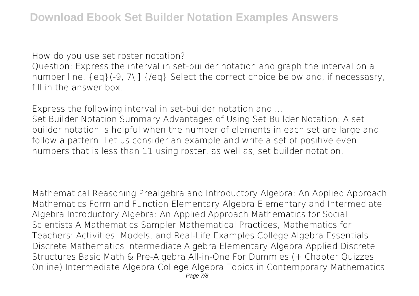*How do you use set roster notation?*

Question: Express the interval in set-builder notation and graph the interval on a number line. {eq}(-9, 7\ ] {/eq} Select the correct choice below and, if necessasry, fill in the answer box.

*Express the following interval in set-builder notation and ...*

Set Builder Notation Summary Advantages of Using Set Builder Notation: A set builder notation is helpful when the number of elements in each set are large and follow a pattern. Let us consider an example and write a set of positive even numbers that is less than 11 using roster, as well as, set builder notation.

Mathematical Reasoning Prealgebra and Introductory Algebra: An Applied Approach Mathematics Form and Function Elementary Algebra Elementary and Intermediate Algebra Introductory Algebra: An Applied Approach Mathematics for Social Scientists A Mathematics Sampler Mathematical Practices, Mathematics for Teachers: Activities, Models, and Real-Life Examples College Algebra Essentials Discrete Mathematics Intermediate Algebra Elementary Algebra Applied Discrete Structures Basic Math & Pre-Algebra All-in-One For Dummies (+ Chapter Quizzes Online) Intermediate Algebra College Algebra Topics in Contemporary Mathematics